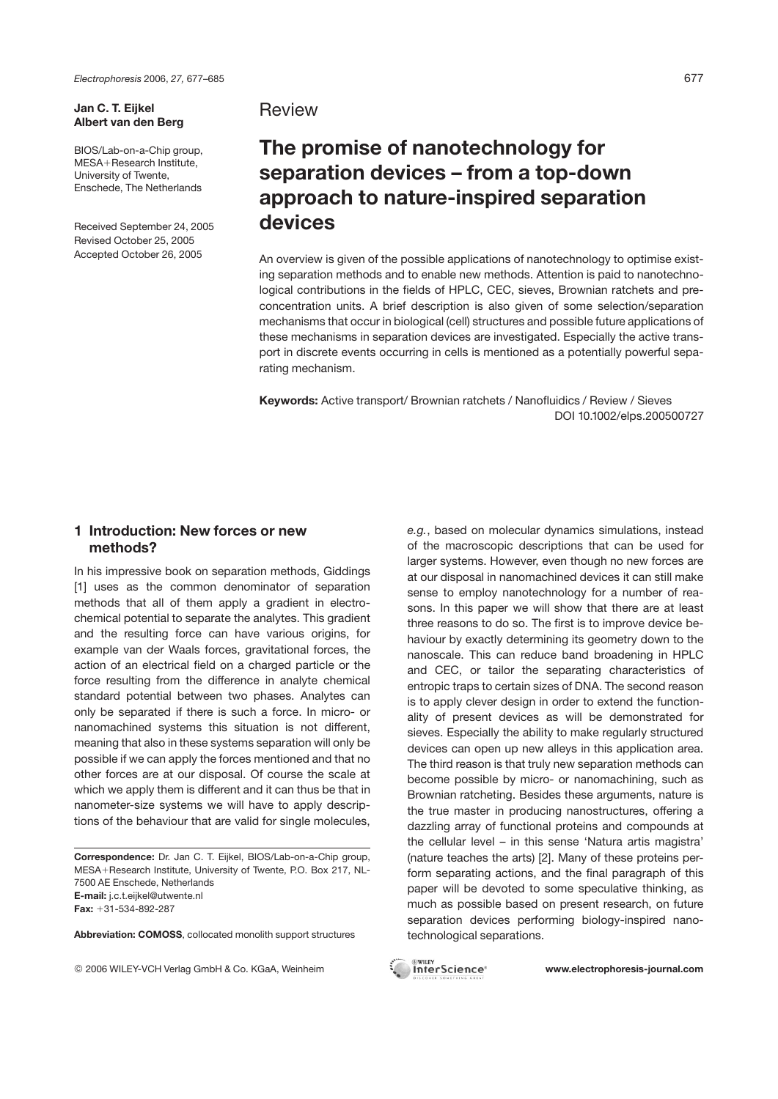*Electrophoresis* 2006, *27,* 677–685 677

#### **Jan C. T. Eijkel Albert van den Berg**

BIOS/Lab-on-a-Chip group, MESA+Research Institute, University of Twente, Enschede, The Netherlands

Received September 24, 2005 Revised October 25, 2005 Accepted October 26, 2005

# **Review**

# **The promise of nanotechnology for separation devices – from a top-down approach to nature-inspired separation devices**

An overview is given of the possible applications of nanotechnology to optimise existing separation methods and to enable new methods. Attention is paid to nanotechnological contributions in the fields of HPLC, CEC, sieves, Brownian ratchets and preconcentration units. A brief description is also given of some selection/separation mechanisms that occur in biological (cell) structures and possible future applications of these mechanisms in separation devices are investigated. Especially the active transport in discrete events occurring in cells is mentioned as a potentially powerful separating mechanism.

**Keywords:** Active transport/ Brownian ratchets / Nanofluidics / Review / Sieves DOI 10.1002/elps.200500727

## **1 Introduction: New forces or new methods?**

In his impressive book on separation methods, Giddings [1] uses as the common denominator of separation methods that all of them apply a gradient in electrochemical potential to separate the analytes. This gradient and the resulting force can have various origins, for example van der Waals forces, gravitational forces, the action of an electrical field on a charged particle or the force resulting from the difference in analyte chemical standard potential between two phases. Analytes can only be separated if there is such a force. In micro- or nanomachined systems this situation is not different, meaning that also in these systems separation will only be possible if we can apply the forces mentioned and that no other forces are at our disposal. Of course the scale at which we apply them is different and it can thus be that in nanometer-size systems we will have to apply descriptions of the behaviour that are valid for single molecules,

**Correspondence:** Dr. Jan C. T. Eijkel, BIOS/Lab-on-a-Chip group, MESA+Research Institute, University of Twente, P.O. Box 217, NL-7500 AE Enschede, Netherlands **E-mail:** j.c.t.eijkel@utwente.nl **Fax:** +31-534-892-287

**Abbreviation: COMOSS**, collocated monolith support structures

© 2006 WILEY-VCH Verlag GmbH & Co. KGaA, Weinheim **www.electrophoresis-journal.com**

*e.g.*, based on molecular dynamics simulations, instead of the macroscopic descriptions that can be used for larger systems. However, even though no new forces are at our disposal in nanomachined devices it can still make sense to employ nanotechnology for a number of reasons. In this paper we will show that there are at least three reasons to do so. The first is to improve device behaviour by exactly determining its geometry down to the nanoscale. This can reduce band broadening in HPLC and CEC, or tailor the separating characteristics of entropic traps to certain sizes of DNA. The second reason is to apply clever design in order to extend the functionality of present devices as will be demonstrated for sieves. Especially the ability to make regularly structured devices can open up new alleys in this application area. The third reason is that truly new separation methods can become possible by micro- or nanomachining, such as Brownian ratcheting. Besides these arguments, nature is the true master in producing nanostructures, offering a dazzling array of functional proteins and compounds at the cellular level – in this sense 'Natura artis magistra' (nature teaches the arts) [2]. Many of these proteins perform separating actions, and the final paragraph of this paper will be devoted to some speculative thinking, as much as possible based on present research, on future separation devices performing biology-inspired nanotechnological separations.

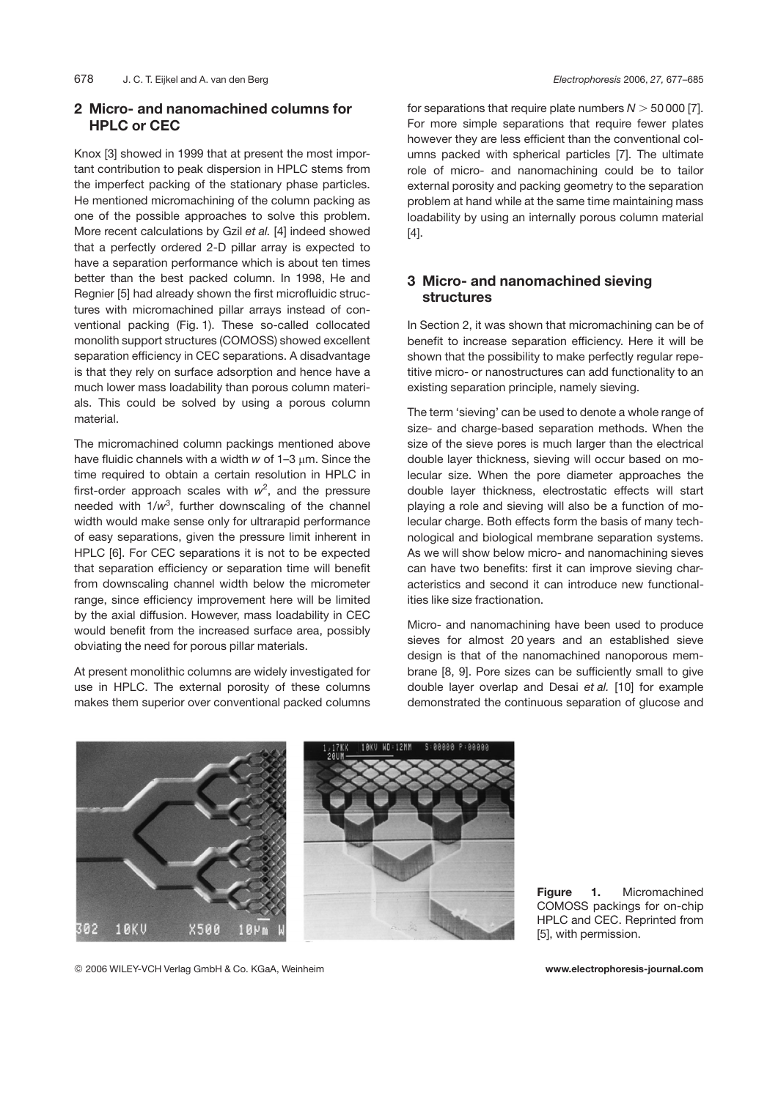# **2 Micro- and nanomachined columns for HPLC or CEC**

Knox [3] showed in 1999 that at present the most important contribution to peak dispersion in HPLC stems from the imperfect packing of the stationary phase particles. He mentioned micromachining of the column packing as one of the possible approaches to solve this problem. More recent calculations by Gzil *et al.* [4] indeed showed that a perfectly ordered 2-D pillar array is expected to have a separation performance which is about ten times better than the best packed column. In 1998, He and Regnier [5] had already shown the first microfluidic structures with micromachined pillar arrays instead of conventional packing (Fig. 1). These so-called collocated monolith support structures (COMOSS) showed excellent separation efficiency in CEC separations. A disadvantage is that they rely on surface adsorption and hence have a much lower mass loadability than porous column materials. This could be solved by using a porous column material.

The micromachined column packings mentioned above have fluidic channels with a width  $w$  of  $1-3 \mu m$ . Since the time required to obtain a certain resolution in HPLC in first-order approach scales with  $w^2$ , and the pressure needed with 1*/w*<sup>3</sup> , further downscaling of the channel width would make sense only for ultrarapid performance of easy separations, given the pressure limit inherent in HPLC [6]. For CEC separations it is not to be expected that separation efficiency or separation time will benefit from downscaling channel width below the micrometer range, since efficiency improvement here will be limited by the axial diffusion. However, mass loadability in CEC would benefit from the increased surface area, possibly obviating the need for porous pillar materials.

At present monolithic columns are widely investigated for use in HPLC. The external porosity of these columns makes them superior over conventional packed columns for separations that require plate numbers  $N > 50000$  [7]. For more simple separations that require fewer plates however they are less efficient than the conventional columns packed with spherical particles [7]. The ultimate role of micro- and nanomachining could be to tailor external porosity and packing geometry to the separation problem at hand while at the same time maintaining mass loadability by using an internally porous column material [4].

# **3 Micro- and nanomachined sieving structures**

In Section 2, it was shown that micromachining can be of benefit to increase separation efficiency. Here it will be shown that the possibility to make perfectly regular repetitive micro- or nanostructures can add functionality to an existing separation principle, namely sieving.

The term 'sieving' can be used to denote a whole range of size- and charge-based separation methods. When the size of the sieve pores is much larger than the electrical double layer thickness, sieving will occur based on molecular size. When the pore diameter approaches the double layer thickness, electrostatic effects will start playing a role and sieving will also be a function of molecular charge. Both effects form the basis of many technological and biological membrane separation systems. As we will show below micro- and nanomachining sieves can have two benefits: first it can improve sieving characteristics and second it can introduce new functionalities like size fractionation.

Micro- and nanomachining have been used to produce sieves for almost 20 years and an established sieve design is that of the nanomachined nanoporous membrane [8, 9]. Pore sizes can be sufficiently small to give double layer overlap and Desai *et al.* [10] for example demonstrated the continuous separation of glucose and





**Figure 1.** Micromachined COMOSS packings for on-chip HPLC and CEC. Reprinted from [5], with permission.

© 2006 WILEY-VCH Verlag GmbH & Co. KGaA, Weinheim **www.electrophoresis-journal.com**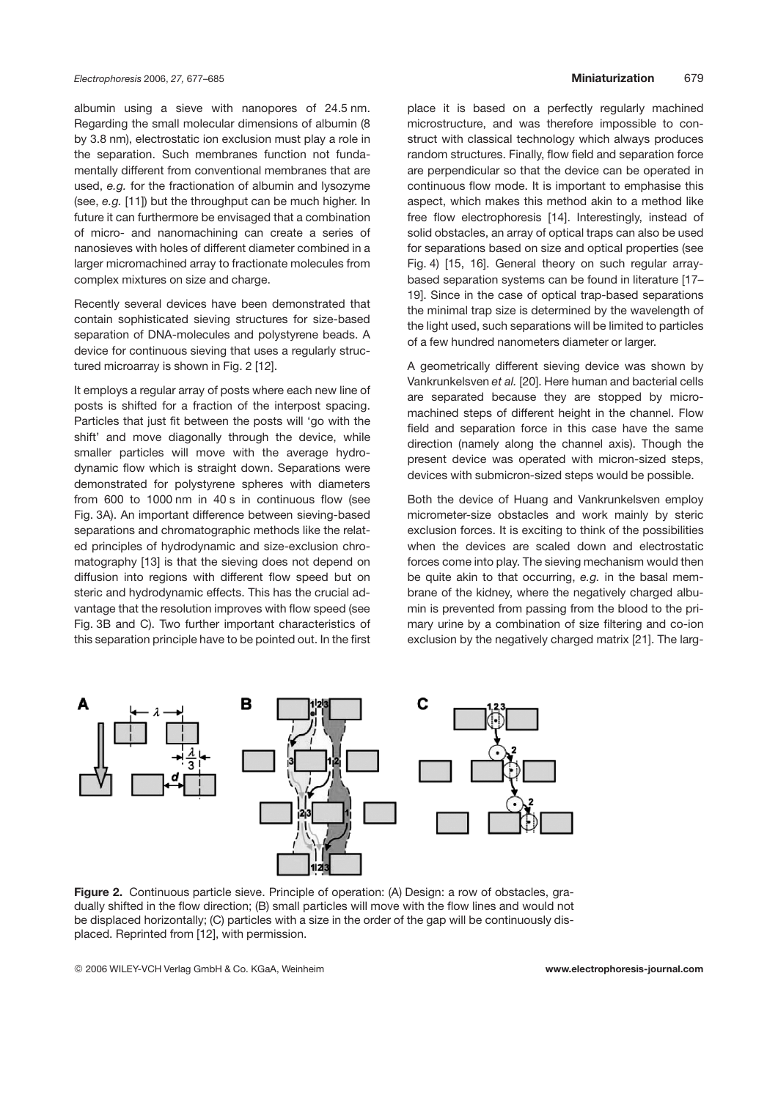albumin using a sieve with nanopores of 24.5 nm. Regarding the small molecular dimensions of albumin (8 by 3.8 nm), electrostatic ion exclusion must play a role in the separation. Such membranes function not fundamentally different from conventional membranes that are used, *e.g.* for the fractionation of albumin and lysozyme (see, *e.g.* [11]) but the throughput can be much higher. In future it can furthermore be envisaged that a combination of micro- and nanomachining can create a series of nanosieves with holes of different diameter combined in a larger micromachined array to fractionate molecules from complex mixtures on size and charge.

Recently several devices have been demonstrated that contain sophisticated sieving structures for size-based separation of DNA-molecules and polystyrene beads. A device for continuous sieving that uses a regularly structured microarray is shown in Fig. 2 [12].

It employs a regular array of posts where each new line of posts is shifted for a fraction of the interpost spacing. Particles that just fit between the posts will 'go with the shift' and move diagonally through the device, while smaller particles will move with the average hydrodynamic flow which is straight down. Separations were demonstrated for polystyrene spheres with diameters from 600 to 1000 nm in 40 s in continuous flow (see Fig. 3A). An important difference between sieving-based separations and chromatographic methods like the related principles of hydrodynamic and size-exclusion chromatography [13] is that the sieving does not depend on diffusion into regions with different flow speed but on steric and hydrodynamic effects. This has the crucial advantage that the resolution improves with flow speed (see Fig. 3B and C). Two further important characteristics of this separation principle have to be pointed out. In the first place it is based on a perfectly regularly machined microstructure, and was therefore impossible to construct with classical technology which always produces random structures. Finally, flow field and separation force are perpendicular so that the device can be operated in continuous flow mode. It is important to emphasise this aspect, which makes this method akin to a method like free flow electrophoresis [14]. Interestingly, instead of solid obstacles, an array of optical traps can also be used for separations based on size and optical properties (see Fig. 4) [15, 16]. General theory on such regular arraybased separation systems can be found in literature [17– 19]. Since in the case of optical trap-based separations the minimal trap size is determined by the wavelength of the light used, such separations will be limited to particles of a few hundred nanometers diameter or larger.

A geometrically different sieving device was shown by Vankrunkelsven *et al.* [20]. Here human and bacterial cells are separated because they are stopped by micromachined steps of different height in the channel. Flow field and separation force in this case have the same direction (namely along the channel axis). Though the present device was operated with micron-sized steps, devices with submicron-sized steps would be possible.

Both the device of Huang and Vankrunkelsven employ micrometer-size obstacles and work mainly by steric exclusion forces. It is exciting to think of the possibilities when the devices are scaled down and electrostatic forces come into play. The sieving mechanism would then be quite akin to that occurring, *e.g.* in the basal membrane of the kidney, where the negatively charged albumin is prevented from passing from the blood to the primary urine by a combination of size filtering and co-ion exclusion by the negatively charged matrix [21]. The larg-



**Figure 2.** Continuous particle sieve. Principle of operation: (A) Design: a row of obstacles, gradually shifted in the flow direction; (B) small particles will move with the flow lines and would not be displaced horizontally; (C) particles with a size in the order of the gap will be continuously displaced. Reprinted from [12], with permission.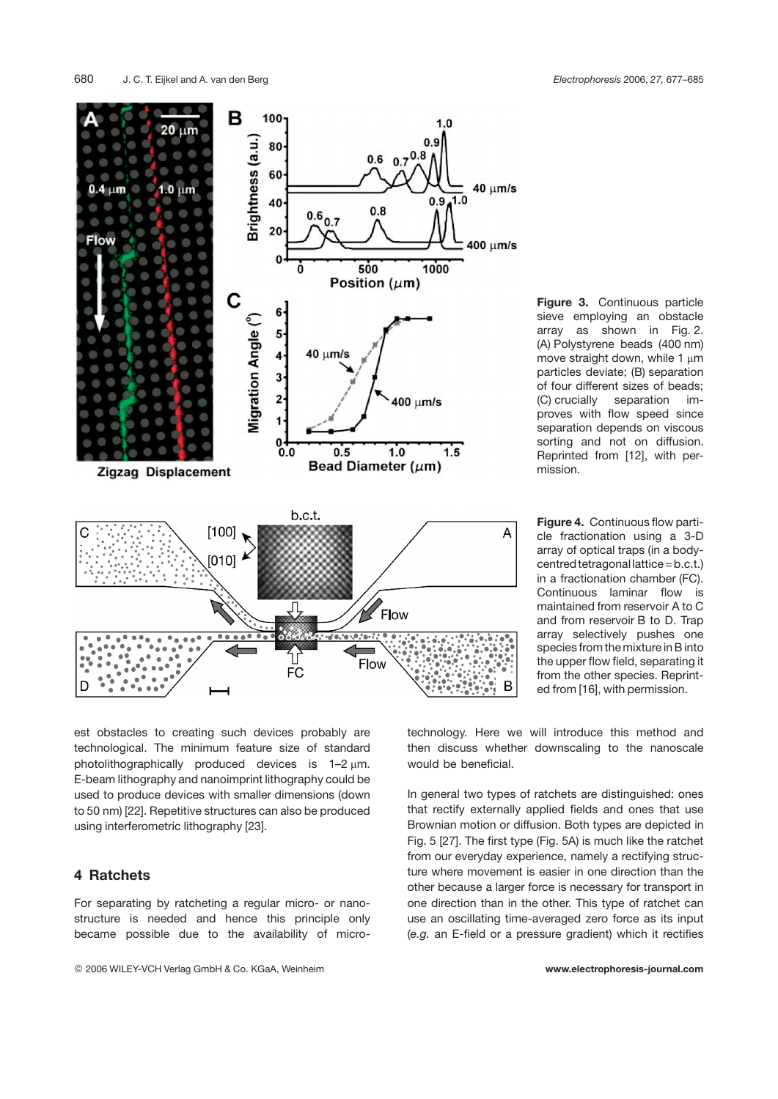в

 $100 -$ 





**Figure 3.** Continuous particle sieve employing an obstacle array as shown in Fig. 2. (A) Polystyrene beads (400 nm) move straight down, while 1  $\mu$ m particles deviate; (B) separation of four different sizes of beads; (C) crucially separation improves with flow speed since separation depends on viscous sorting and not on diffusion. Reprinted from [12], with permission.

**Figure 4.** Continuous flow particle fractionation using a 3-D array of optical traps (in a bodycentred tetragonal lattice = b.c.t.) in a fractionation chamber (FC). Continuous laminar flow is maintained from reservoir A to C and from reservoir B to D. Trap array selectively pushes one species from the mixture in B into the upper flow field, separating it from the other species. Reprinted from [16], with permission.

est obstacles to creating such devices probably are technological. The minimum feature size of standard photolithographically produced devices is  $1-2 \mu m$ . E-beam lithography and nanoimprint lithography could be used to produce devices with smaller dimensions (down to 50 nm) [22]. Repetitive structures can also be produced using interferometric lithography [23].

## **4 Ratchets**

For separating by ratcheting a regular micro- or nanostructure is needed and hence this principle only became possible due to the availability of microtechnology. Here we will introduce this method and then discuss whether downscaling to the nanoscale would be beneficial.

In general two types of ratchets are distinguished: ones that rectify externally applied fields and ones that use Brownian motion or diffusion. Both types are depicted in Fig. 5 [27]. The first type (Fig. 5A) is much like the ratchet from our everyday experience, namely a rectifying structure where movement is easier in one direction than the other because a larger force is necessary for transport in one direction than in the other. This type of ratchet can use an oscillating time-averaged zero force as its input (*e.g.* an E-field or a pressure gradient) which it rectifies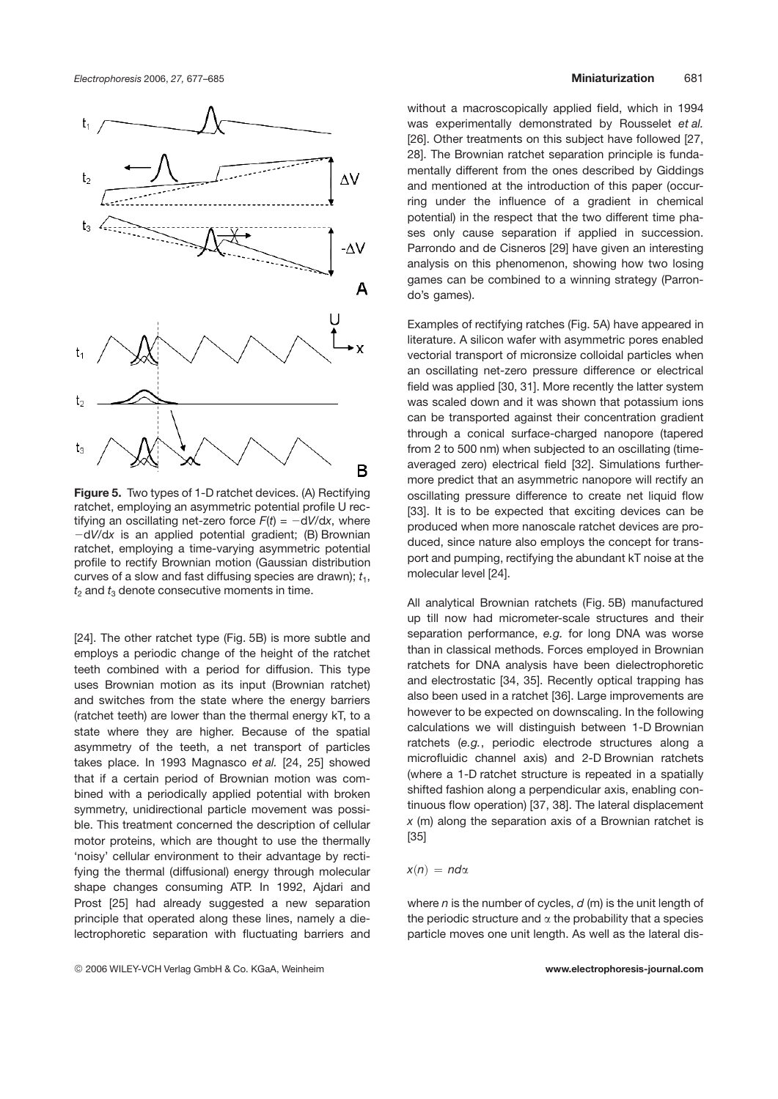

**Figure 5.** Two types of 1-D ratchet devices. (A) Rectifying ratchet, employing an asymmetric potential profile U rectifying an oscillating net-zero force  $F(t) = -dV/dx$ , where 2d*V*/d*x* is an applied potential gradient; (B) Brownian ratchet, employing a time-varying asymmetric potential profile to rectify Brownian motion (Gaussian distribution curves of a slow and fast diffusing species are drawn);  $t_1$ ,  $t_2$  and  $t_3$  denote consecutive moments in time.

[24]. The other ratchet type (Fig. 5B) is more subtle and employs a periodic change of the height of the ratchet teeth combined with a period for diffusion. This type uses Brownian motion as its input (Brownian ratchet) and switches from the state where the energy barriers (ratchet teeth) are lower than the thermal energy kT, to a state where they are higher. Because of the spatial asymmetry of the teeth, a net transport of particles takes place. In 1993 Magnasco *et al.* [24, 25] showed that if a certain period of Brownian motion was combined with a periodically applied potential with broken symmetry, unidirectional particle movement was possible. This treatment concerned the description of cellular motor proteins, which are thought to use the thermally 'noisy' cellular environment to their advantage by rectifying the thermal (diffusional) energy through molecular shape changes consuming ATP. In 1992, Ajdari and Prost [25] had already suggested a new separation principle that operated along these lines, namely a dielectrophoretic separation with fluctuating barriers and

#### © 2006 WILEY-VCH Verlag GmbH & Co. KGaA, Weinheim **www.electrophoresis-journal.com**

without a macroscopically applied field, which in 1994 was experimentally demonstrated by Rousselet *et al.* [26]. Other treatments on this subject have followed [27, 28]. The Brownian ratchet separation principle is fundamentally different from the ones described by Giddings and mentioned at the introduction of this paper (occurring under the influence of a gradient in chemical potential) in the respect that the two different time phases only cause separation if applied in succession. Parrondo and de Cisneros [29] have given an interesting analysis on this phenomenon, showing how two losing games can be combined to a winning strategy (Parrondo's games).

Examples of rectifying ratches (Fig. 5A) have appeared in literature. A silicon wafer with asymmetric pores enabled vectorial transport of micronsize colloidal particles when an oscillating net-zero pressure difference or electrical field was applied [30, 31]. More recently the latter system was scaled down and it was shown that potassium ions can be transported against their concentration gradient through a conical surface-charged nanopore (tapered from 2 to 500 nm) when subjected to an oscillating (timeaveraged zero) electrical field [32]. Simulations furthermore predict that an asymmetric nanopore will rectify an oscillating pressure difference to create net liquid flow [33]. It is to be expected that exciting devices can be produced when more nanoscale ratchet devices are produced, since nature also employs the concept for transport and pumping, rectifying the abundant kT noise at the molecular level [24].

All analytical Brownian ratchets (Fig. 5B) manufactured up till now had micrometer-scale structures and their separation performance, *e.g.* for long DNA was worse than in classical methods. Forces employed in Brownian ratchets for DNA analysis have been dielectrophoretic and electrostatic [34, 35]. Recently optical trapping has also been used in a ratchet [36]. Large improvements are however to be expected on downscaling. In the following calculations we will distinguish between 1-D Brownian ratchets (*e.g.*, periodic electrode structures along a microfluidic channel axis) and 2-D Brownian ratchets (where a 1-D ratchet structure is repeated in a spatially shifted fashion along a perpendicular axis, enabling continuous flow operation) [37, 38]. The lateral displacement *x* (m) along the separation axis of a Brownian ratchet is [35]

#### $x(n) = nd\alpha$

where *n* is the number of cycles, *d* (m) is the unit length of the periodic structure and  $\alpha$  the probability that a species particle moves one unit length. As well as the lateral dis-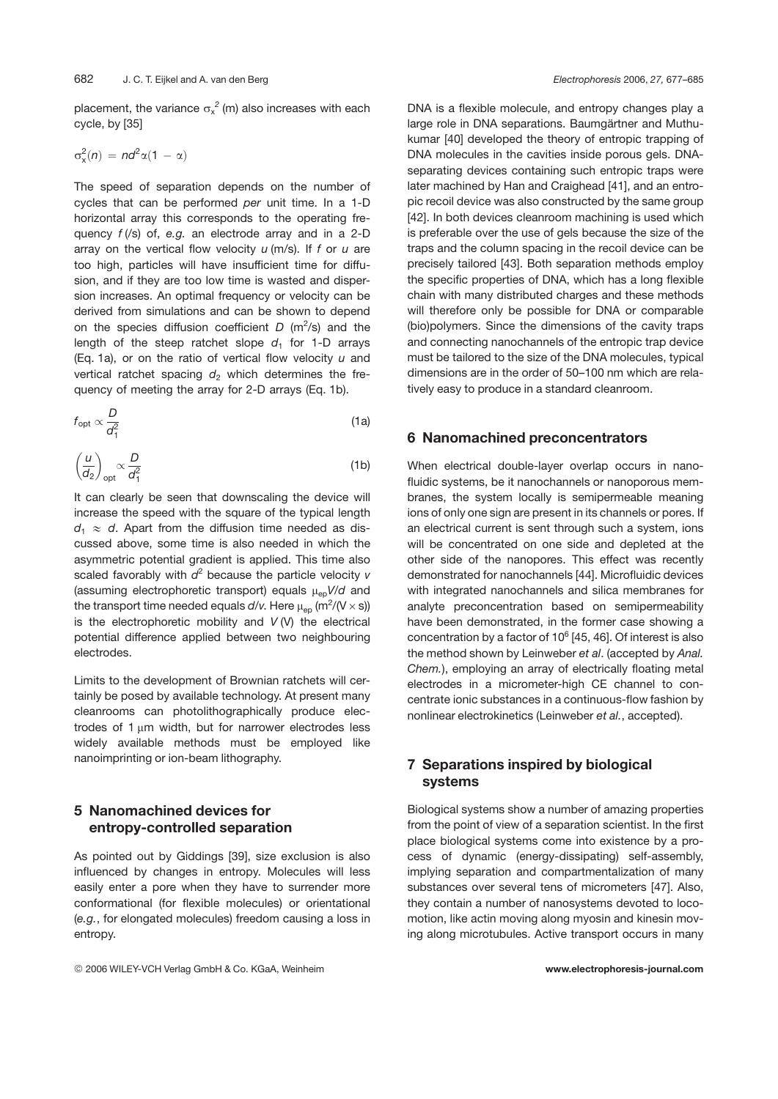placement, the variance  $\sigma_{\mathsf{x}}^{\;2}$  (m) also increases with each cycle, by [35]

$$
\sigma_x^2(n) = n d^2 \alpha (1 - \alpha)
$$

The speed of separation depends on the number of cycles that can be performed *per* unit time. In a 1-D horizontal array this corresponds to the operating frequency *f* (/s) of, *e.g.* an electrode array and in a 2-D array on the vertical flow velocity *u* (m/s). If *f* or *u* are too high, particles will have insufficient time for diffusion, and if they are too low time is wasted and dispersion increases. An optimal frequency or velocity can be derived from simulations and can be shown to depend on the species diffusion coefficient *D* (m<sup>2</sup>/s) and the length of the steep ratchet slope  $d_1$  for 1-D arrays (Eq. 1a), or on the ratio of vertical flow velocity *u* and vertical ratchet spacing  $d_2$  which determines the frequency of meeting the array for 2-D arrays (Eq. 1b).

$$
f_{\rm opt} \propto \frac{D}{d_1^2} \tag{1a}
$$

$$
\left(\frac{u}{dz}\right)_{\text{opt}} \propto \frac{D}{d_1^2} \tag{1b}
$$

It can clearly be seen that downscaling the device will increase the speed with the square of the typical length  $d_1 \approx d$ . Apart from the diffusion time needed as discussed above, some time is also needed in which the asymmetric potential gradient is applied. This time also scaled favorably with  $d^2$  because the particle velocity  $v$ (assuming electrophoretic transport) equals  $\mu_{ep}V/d$  and the transport time needed equals  $d$ / $v$ . Here  $\mu_{\rm ep}$  (m $^2$ /(V  $\times$  s)) is the electrophoretic mobility and *V* (V) the electrical potential difference applied between two neighbouring electrodes.

Limits to the development of Brownian ratchets will certainly be posed by available technology. At present many cleanrooms can photolithographically produce electrodes of  $1 \mu m$  width, but for narrower electrodes less widely available methods must be employed like nanoimprinting or ion-beam lithography.

# **5 Nanomachined devices for entropy-controlled separation**

As pointed out by Giddings [39], size exclusion is also influenced by changes in entropy. Molecules will less easily enter a pore when they have to surrender more conformational (for flexible molecules) or orientational (*e.g.*, for elongated molecules) freedom causing a loss in entropy.

DNA is a flexible molecule, and entropy changes play a large role in DNA separations. Baumgärtner and Muthukumar [40] developed the theory of entropic trapping of DNA molecules in the cavities inside porous gels. DNAseparating devices containing such entropic traps were later machined by Han and Craighead [41], and an entropic recoil device was also constructed by the same group [42]. In both devices cleanroom machining is used which is preferable over the use of gels because the size of the traps and the column spacing in the recoil device can be precisely tailored [43]. Both separation methods employ the specific properties of DNA, which has a long flexible chain with many distributed charges and these methods will therefore only be possible for DNA or comparable (bio)polymers. Since the dimensions of the cavity traps and connecting nanochannels of the entropic trap device must be tailored to the size of the DNA molecules, typical dimensions are in the order of 50–100 nm which are relatively easy to produce in a standard cleanroom.

### **6 Nanomachined preconcentrators**

When electrical double-layer overlap occurs in nanofluidic systems, be it nanochannels or nanoporous membranes, the system locally is semipermeable meaning ions of only one sign are present in its channels or pores. If an electrical current is sent through such a system, ions will be concentrated on one side and depleted at the other side of the nanopores. This effect was recently demonstrated for nanochannels [44]. Microfluidic devices with integrated nanochannels and silica membranes for analyte preconcentration based on semipermeability have been demonstrated, in the former case showing a concentration by a factor of  $10^6$  [45, 46]. Of interest is also the method shown by Leinweber *et al*. (accepted by *Anal. Chem.*), employing an array of electrically floating metal electrodes in a micrometer-high CE channel to concentrate ionic substances in a continuous-flow fashion by nonlinear electrokinetics (Leinweber *et al.*, accepted).

# **7 Separations inspired by biological systems**

Biological systems show a number of amazing properties from the point of view of a separation scientist. In the first place biological systems come into existence by a process of dynamic (energy-dissipating) self-assembly, implying separation and compartmentalization of many substances over several tens of micrometers [47]. Also, they contain a number of nanosystems devoted to locomotion, like actin moving along myosin and kinesin moving along microtubules. Active transport occurs in many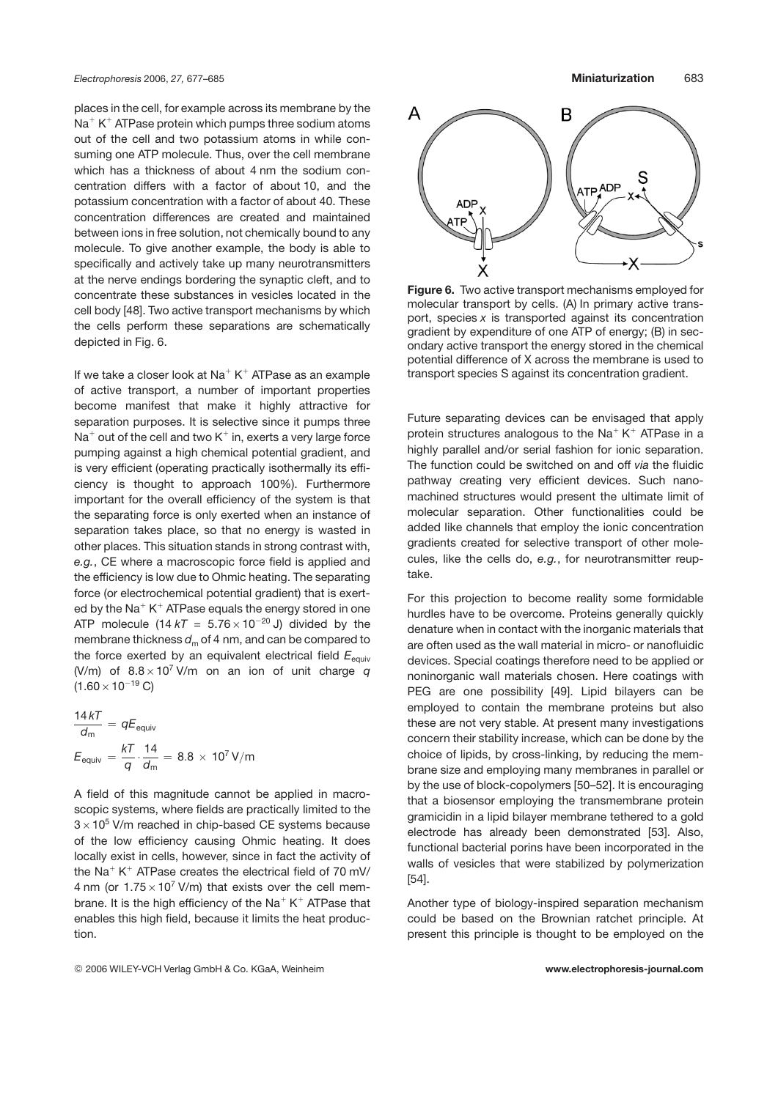places in the cell, for example across its membrane by the  $Na<sup>+</sup> K<sup>+</sup>$  ATPase protein which pumps three sodium atoms out of the cell and two potassium atoms in while consuming one ATP molecule. Thus, over the cell membrane which has a thickness of about 4 nm the sodium concentration differs with a factor of about 10, and the potassium concentration with a factor of about 40. These concentration differences are created and maintained between ions in free solution, not chemically bound to any molecule. To give another example, the body is able to specifically and actively take up many neurotransmitters at the nerve endings bordering the synaptic cleft, and to concentrate these substances in vesicles located in the cell body [48]. Two active transport mechanisms by which the cells perform these separations are schematically depicted in Fig. 6.

If we take a closer look at  $Na^+K^+$  ATPase as an example of active transport, a number of important properties become manifest that make it highly attractive for separation purposes. It is selective since it pumps three  $Na<sup>+</sup>$  out of the cell and two  $K<sup>+</sup>$  in, exerts a very large force pumping against a high chemical potential gradient, and is very efficient (operating practically isothermally its efficiency is thought to approach 100%). Furthermore important for the overall efficiency of the system is that the separating force is only exerted when an instance of separation takes place, so that no energy is wasted in other places. This situation stands in strong contrast with, *e.g.*, CE where a macroscopic force field is applied and the efficiency is low due to Ohmic heating. The separating force (or electrochemical potential gradient) that is exerted by the Na<sup>+</sup> K<sup>+</sup> ATPase equals the energy stored in one ATP molecule  $(14 kT = 5.76 \times 10^{-20} \text{ J})$  divided by the membrane thickness  $d_m$  of 4 nm, and can be compared to the force exerted by an equivalent electrical field  $E_{\text{equiv}}$ (V/m) of  $8.8 \times 10^7$  V/m on an ion of unit charge *q*  $(1.60 \times 10^{-19} \text{ C})$ 

$$
\frac{14kT}{d_m} = qE_{\text{equiv}} E_{\text{equiv}} = \frac{kT}{q} \cdot \frac{14}{d_m} = 8.8 \times 10^7 \text{ V/m}
$$

A field of this magnitude cannot be applied in macroscopic systems, where fields are practically limited to the  $3\times10^5$  V/m reached in chip-based CE systems because of the low efficiency causing Ohmic heating. It does locally exist in cells, however, since in fact the activity of the Na<sup>+</sup> K<sup>+</sup> ATPase creates the electrical field of 70 mV/ 4 nm (or  $1.75 \times 10^7$  V/m) that exists over the cell membrane. It is the high efficiency of the  $Na^+K^+$  ATPase that enables this high field, because it limits the heat production.



**Figure 6.** Two active transport mechanisms employed for molecular transport by cells. (A) In primary active transport, species *x* is transported against its concentration gradient by expenditure of one ATP of energy; (B) in secondary active transport the energy stored in the chemical potential difference of X across the membrane is used to transport species S against its concentration gradient.

Future separating devices can be envisaged that apply protein structures analogous to the Na<sup>+</sup> K<sup>+</sup> ATPase in a highly parallel and/or serial fashion for ionic separation. The function could be switched on and off *via* the fluidic pathway creating very efficient devices. Such nanomachined structures would present the ultimate limit of molecular separation. Other functionalities could be added like channels that employ the ionic concentration gradients created for selective transport of other molecules, like the cells do, *e.g.*, for neurotransmitter reuptake.

For this projection to become reality some formidable hurdles have to be overcome. Proteins generally quickly denature when in contact with the inorganic materials that are often used as the wall material in micro- or nanofluidic devices. Special coatings therefore need to be applied or noninorganic wall materials chosen. Here coatings with PEG are one possibility [49]. Lipid bilayers can be employed to contain the membrane proteins but also these are not very stable. At present many investigations concern their stability increase, which can be done by the choice of lipids, by cross-linking, by reducing the membrane size and employing many membranes in parallel or by the use of block-copolymers [50–52]. It is encouraging that a biosensor employing the transmembrane protein gramicidin in a lipid bilayer membrane tethered to a gold electrode has already been demonstrated [53]. Also, functional bacterial porins have been incorporated in the walls of vesicles that were stabilized by polymerization [54].

Another type of biology-inspired separation mechanism could be based on the Brownian ratchet principle. At present this principle is thought to be employed on the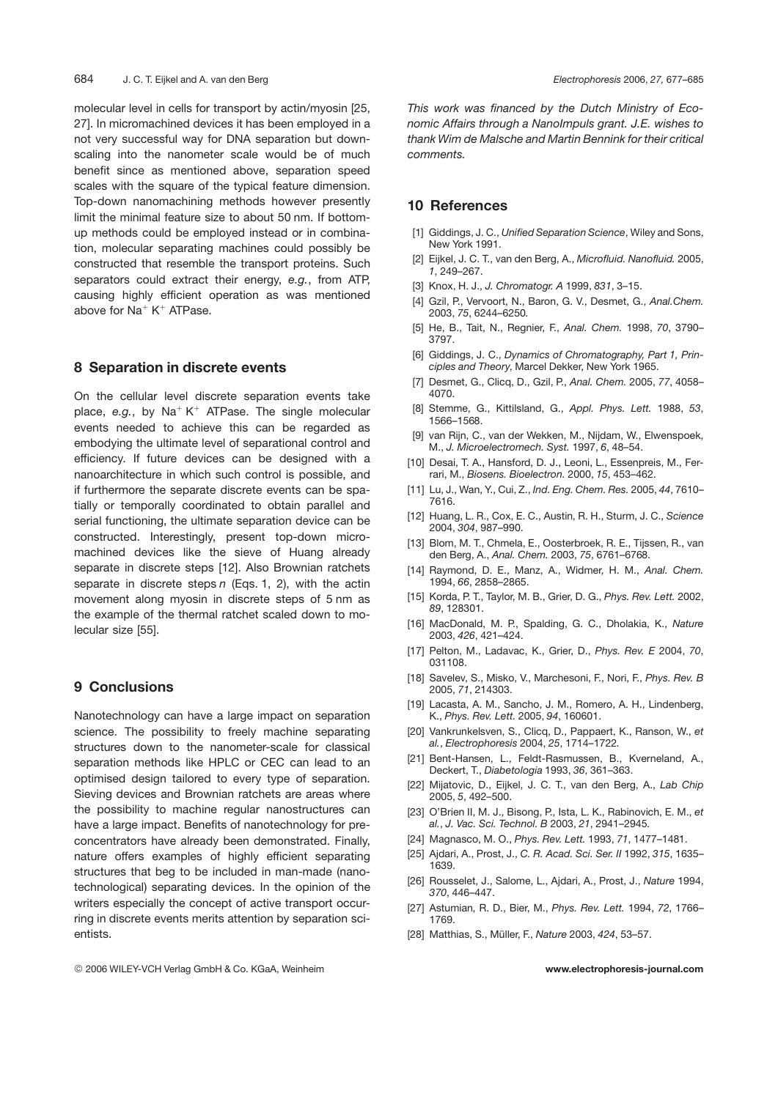molecular level in cells for transport by actin/myosin [25, 27]. In micromachined devices it has been employed in a not very successful way for DNA separation but downscaling into the nanometer scale would be of much benefit since as mentioned above, separation speed scales with the square of the typical feature dimension. Top-down nanomachining methods however presently limit the minimal feature size to about 50 nm. If bottomup methods could be employed instead or in combination, molecular separating machines could possibly be constructed that resemble the transport proteins. Such separators could extract their energy, *e.g.*, from ATP, causing highly efficient operation as was mentioned above for  $Na^+K^+$  ATPase.

### **8 Separation in discrete events**

On the cellular level discrete separation events take place,  $e.g.,$  by  $Na^+K^+$  ATPase. The single molecular events needed to achieve this can be regarded as embodying the ultimate level of separational control and efficiency. If future devices can be designed with a nanoarchitecture in which such control is possible, and if furthermore the separate discrete events can be spatially or temporally coordinated to obtain parallel and serial functioning, the ultimate separation device can be constructed. Interestingly, present top-down micromachined devices like the sieve of Huang already separate in discrete steps [12]. Also Brownian ratchets separate in discrete steps *n* (Eqs. 1, 2), with the actin movement along myosin in discrete steps of 5 nm as the example of the thermal ratchet scaled down to molecular size [55].

# **9 Conclusions**

Nanotechnology can have a large impact on separation science. The possibility to freely machine separating structures down to the nanometer-scale for classical separation methods like HPLC or CEC can lead to an optimised design tailored to every type of separation. Sieving devices and Brownian ratchets are areas where the possibility to machine regular nanostructures can have a large impact. Benefits of nanotechnology for preconcentrators have already been demonstrated. Finally, nature offers examples of highly efficient separating structures that beg to be included in man-made (nanotechnological) separating devices. In the opinion of the writers especially the concept of active transport occurring in discrete events merits attention by separation scientists.

*This work was financed by the Dutch Ministry of Economic Affairs through a NanoImpuls grant. J.E. wishes to thank Wim de Malsche and Martin Bennink for their critical comments.*

## **10 References**

- [1] Giddings, J. C., *Unified Separation Science*, Wiley and Sons, New York 1991.
- [2] Eijkel, J. C. T., van den Berg, A., *Microfluid. Nanofluid.* 2005, *1*, 249–267.
- [3] Knox, H. J., *J. Chromatogr. A* 1999, *831*, 3–15.
- [4] Gzil, P., Vervoort, N., Baron, G. V., Desmet, G., *Anal.Chem.* 2003, *75*, 6244–6250.
- [5] He, B., Tait, N., Regnier, F., *Anal. Chem.* 1998, *70*, 3790– 3797.
- [6] Giddings, J. C., *Dynamics of Chromatography, Part 1, Principles and Theory*, Marcel Dekker, New York 1965.
- [7] Desmet, G., Clicq, D., Gzil, P., *Anal. Chem.* 2005, *77*, 4058– 4070.
- [8] Stemme, G., Kittilsland, G., *Appl. Phys. Lett.* 1988, *53*, 1566–1568.
- [9] van Rijn, C., van der Wekken, M., Nijdam, W., Elwenspoek, M., *J. Microelectromech. Syst.* 1997, *6*, 48–54.
- [10] Desai, T. A., Hansford, D. J., Leoni, L., Essenpreis, M., Ferrari, M., *Biosens. Bioelectron.* 2000, *15*, 453–462.
- [11] Lu, J., Wan, Y., Cui, Z., *Ind. Eng. Chem. Res.* 2005, *44*, 7610– 7616.
- [12] Huang, L. R., Cox, E. C., Austin, R. H., Sturm, J. C., *Science* 2004, *304*, 987–990.
- [13] Blom, M. T., Chmela, E., Oosterbroek, R. E., Tijssen, R., van den Berg, A., *Anal. Chem.* 2003, *75*, 6761–6768.
- [14] Raymond, D. E., Manz, A., Widmer, H. M., *Anal. Chem.* 1994, *66*, 2858–2865.
- [15] Korda, P. T., Taylor, M. B., Grier, D. G., *Phys. Rev. Lett.* 2002, *89*, 128301.
- [16] MacDonald, M. P., Spalding, G. C., Dholakia, K., *Nature* 2003, *426*, 421–424.
- [17] Pelton, M., Ladavac, K., Grier, D., *Phys. Rev. E* 2004, *70*, 031108.
- [18] Savelev, S., Misko, V., Marchesoni, F., Nori, F., *Phys. Rev. B* 2005, *71*, 214303.
- [19] Lacasta, A. M., Sancho, J. M., Romero, A. H., Lindenberg, K., *Phys. Rev. Lett.* 2005, *94*, 160601.
- [20] Vankrunkelsven, S., Clicq, D., Pappaert, K., Ranson, W., *et al.*, *Electrophoresis* 2004, *25*, 1714–1722.
- [21] Bent-Hansen, L., Feldt-Rasmussen, B., Kverneland, A., Deckert, T., *Diabetologia* 1993, *36*, 361–363.
- [22] Mijatovic, D., Eijkel, J. C. T., van den Berg, A., *Lab Chip* 2005, *5*, 492–500.
- [23] O'Brien II, M. J., Bisong, P., Ista, L. K., Rabinovich, E. M., *et al.*, *J. Vac. Sci. Technol. B* 2003, *21*, 2941–2945.
- [24] Magnasco, M. O., *Phys. Rev. Lett.* 1993, *71*, 1477–1481.
- [25] Ajdari, A., Prost, J., *C. R. Acad. Sci. Ser. II* 1992, *315*, 1635– 1639.
- [26] Rousselet, J., Salome, L., Ajdari, A., Prost, J., *Nature* 1994, *370*, 446–447.
- [27] Astumian, R. D., Bier, M., *Phys. Rev. Lett.* 1994, *72*, 1766– 1769.
- [28] Matthias, S., Müller, F., *Nature* 2003, *424*, 53–57.

© 2006 WILEY-VCH Verlag GmbH & Co. KGaA, Weinheim **www.electrophoresis-journal.com**